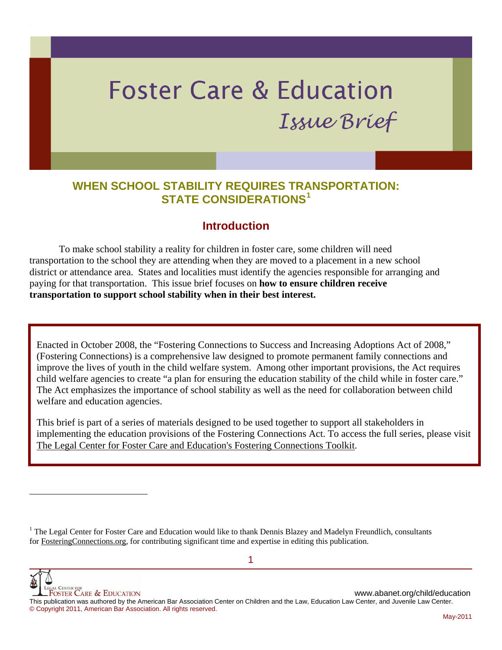# **Foster Care & Education** Issue Brief

# **WHEN SCHOOL STABILITY REQUIRES TR[AN](#page-0-0)SPORTATION: STATE CONSIDERATIONS[1](#page-0-0)**

# **Introduction**

 To make school stability a reality for children in foster care, some children will need transportation to the school they are attending when they are moved to a placement in a new school district or attendance area. States and localities must identify the agencies responsible for arranging and paying for that transportation. This issue brief focuses on **how to ensure children receive transportation to support school stability when in their best interest.** 

Enacted in October 2008, the "Fostering Connections to Success and Increasing Adoptions Act of 2008," (Fostering Connections) is a comprehensive law designed to promote permanent family connections and improve the lives of youth in the child welfare system. Among other important provisions, the Act requires child welfare agencies to create "a plan for ensuring the education stability of the child while in foster care." The Act emphasizes the importance of school stability as well as the need for collaboration between child welfare and education agencies.

This brief is part of a series of materials designed to be used together to support all stakeholders in implementing the education provisions of the Fostering Connections Act. To access the full series, please visit [The Legal Center for Foster Care and Education's Fostering Connections Toolkit.](http://www.americanbar.org/groups/child_law/projects_initiatives/education/state_implementation_toolkit.html)

<span id="page-0-0"></span><sup>1</sup> The Legal Center for Foster Care and Education would like to thank Dennis Blazey and Madelyn Freundlich, consultants for FosteringConnections.org, for contributing significant time and expertise in editing this publication.

WWW.abanet.org/child/education<br>Foster Care & Education

l

This publication was authored by the American Bar Association Center on Children and the Law, Education Law Center, and Juvenile Law Center. © Copyright 2011, American Bar Association. All rights reserved.

1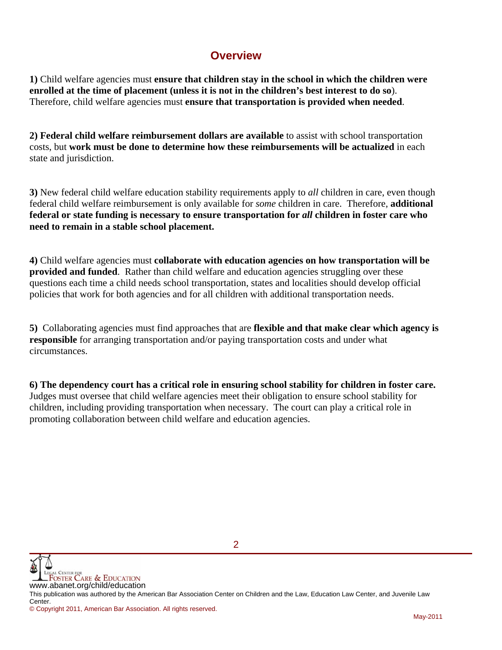# **Overview**

**1)** Child welfare agencies must **ensure that children stay in the school in which the children were enrolled at the time of placement (unless it is not in the children's best interest to do so**). Therefore, child welfare agencies must **ensure that transportation is provided when needed**.

**2) Federal child welfare reimbursement dollars are available** to assist with school transportation costs, but **work must be done to determine how these reimbursements will be actualized** in each state and jurisdiction.

**3)** New federal child welfare education stability requirements apply to *all* children in care, even though federal child welfare reimbursement is only available for *some* children in care. Therefore, **additional federal or state funding is necessary to ensure transportation for** *all* **children in foster care who need to remain in a stable school placement.** 

**4)** Child welfare agencies must **collaborate with education agencies on how transportation will be provided and funded**. Rather than child welfare and education agencies struggling over these questions each time a child needs school transportation, states and localities should develop official policies that work for both agencies and for all children with additional transportation needs.

**5)** Collaborating agencies must find approaches that are **flexible and that make clear which agency is responsible** for arranging transportation and/or paying transportation costs and under what circumstances.

**6) The dependency court has a critical role in ensuring school stability for children in foster care.** Judges must oversee that child welfare agencies meet their obligation to ensure school stability for children, including providing transportation when necessary. The court can play a critical role in promoting collaboration between child welfare and education agencies.



This publication was authored by the American Bar Association Center on Children and the Law, Education Law Center, and Juvenile Law Center.

© Copyright 2011, American Bar Association. All rights reserved.

 $\mathcal{P}$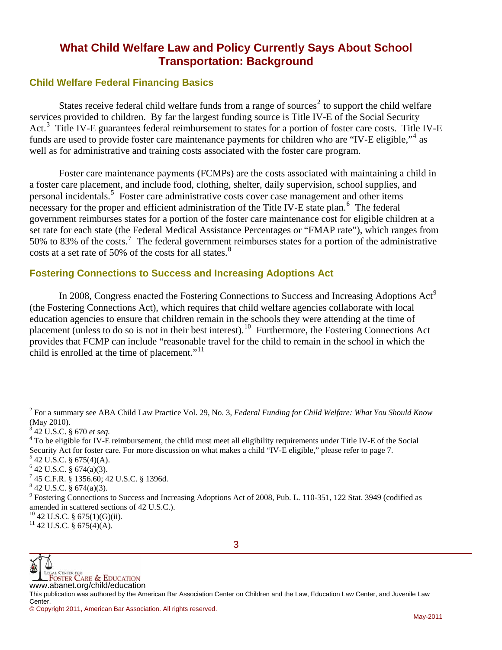# **What Child Welfare Law and Policy Currently Says About School Transportation: Background**

#### **Child Welfare Federal Financing Basics**

States receive federal child welfare funds from a range of sources<sup>[2](#page-2-0)</sup> to support the child welfare services provided to children. By far the largest funding source is Title IV-E of the Social Security Act.<sup>[3](#page-2-1)</sup> Title IV-E guarantees federal reimbursement to states for a portion of foster care costs. Title IV-E funds are used to provide foster care maintenance payments for children who are "IV-E eligible,"<sup>[4](#page-2-2)</sup> as well as for administrative and training costs associated with the foster care program.

Foster care maintenance payments (FCMPs) are the costs associated with maintaining a child in a foster care placement, and include food, clothing, shelter, daily supervision, school supplies, and personal incidentals.<sup>[5](#page-2-3)</sup> Foster care administrative costs cover case management and other items necessary for the proper and efficient administration of the Title IV-E state plan.<sup>[6](#page-2-4)</sup> The federal government reimburses states for a portion of the foster care maintenance cost for eligible children at a set rate for each state (the Federal Medical Assistance Percentages or "FMAP rate"), which ranges from 50% to 83% of the costs.<sup>[7](#page-2-5)</sup> The federal government reimburses states for a portion of the administrative costs at a set rate of 50% of the costs for all states.<sup>[8](#page-2-6)</sup>

#### **Fostering Connections to Success and Increasing Adoptions Act**

In 2008, Congress enacted the Fostering Connections to Success and Increasing Adoptions Act<sup>[9](#page-2-7)</sup> (the Fostering Connections Act), which requires that child welfare agencies collaborate with local education agencies to ensure that children remain in the schools they were attending at the time of placement (unless to do so is not in their best interest).<sup>[10](#page-2-8)</sup> Furthermore, the Fostering Connections Act provides that FCMP can include "reasonable travel for the child to remain in the school in which the child is enrolled at the time of placement."<sup>[11](#page-2-9)</sup>

l



<span id="page-2-0"></span><sup>2</sup> For a summary see ABA Child Law Practice Vol. 29, No. 3, *Federal Funding for Child Welfare: What You Should Know*  (May 2010).

<span id="page-2-1"></span><sup>3</sup> 42 U.S.C. § 670 *et seq.* <sup>4</sup>

<span id="page-2-2"></span><sup>&</sup>lt;sup>4</sup> To be eligible for IV-E reimbursement, the child must meet all eligibility requirements under Title IV-E of the Social Security Act for foster care. For more discussion on what makes a child "IV-E eligible," please refer to page 7.

<span id="page-2-3"></span> $5$  42 U.S.C. § 675(4)(A).

<span id="page-2-4"></span> $6$  42 U.S.C. § 674(a)(3).

<span id="page-2-5"></span><sup>7</sup> 45 C.F.R. § 1356.60; 42 U.S.C. § 1396d.

<span id="page-2-6"></span> $842$  U.S.C. § 674(a)(3).

<span id="page-2-7"></span><sup>&</sup>lt;sup>9</sup> Fostering Connections to Success and Increasing Adoptions Act of 2008, Pub. L. 110-351, 122 Stat. 3949 (codified as amended in scattered sections of 42 U.S.C.).

<span id="page-2-8"></span> $^{10}$  42 U.S.C. § 675(1)(G)(ii).

<span id="page-2-9"></span> $11$  42 U.S.C. § 675(4)(A).

<sup>©</sup> Copyright 2011, American Bar Association. All rights reserved.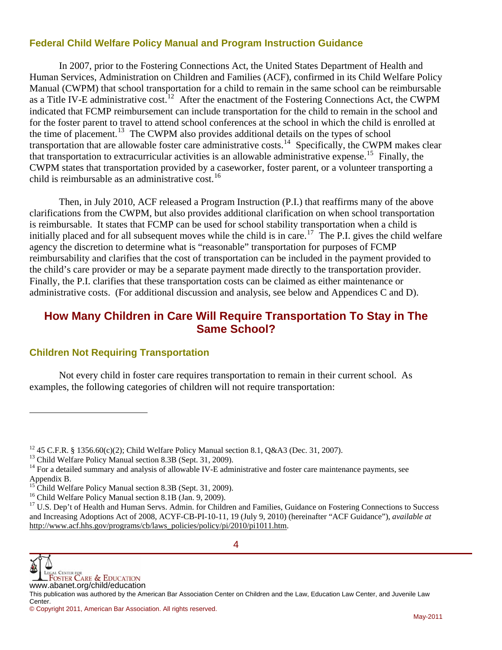#### **Federal Child Welfare Policy Manual and Program Instruction Guidance**

 In 2007, prior to the Fostering Connections Act, the United States Department of Health and Human Services, Administration on Children and Families (ACF), confirmed in its Child Welfare Policy Manual (CWPM) that school transportation for a child to remain in the same school can be reimbursable as a Title IV-E administrative cost.<sup>[12](#page-3-0)</sup> After the enactment of the Fostering Connections Act, the CWPM indicated that FCMP reimbursement can include transportation for the child to remain in the school and for the foster parent to travel to attend school conferences at the school in which the child is enrolled at the time of placement.<sup>[13](#page-3-1)</sup> The CWPM also provides additional details on the types of school transportation that are allowable foster care administrative costs.<sup>[14](#page-3-2)</sup> Specifically, the CWPM makes clear that transportation to extracurricular activities is an allowable administrative expense.<sup>[15](#page-3-3)</sup> Finally, the CWPM states that transportation provided by a caseworker, foster parent, or a volunteer transporting a child is reimbursable as an administrative cost.<sup>[16](#page-3-4)</sup>

 Then, in July 2010, ACF released a Program Instruction (P.I.) that reaffirms many of the above clarifications from the CWPM, but also provides additional clarification on when school transportation is reimbursable. It states that FCMP can be used for school stability transportation when a child is initially placed and for all subsequent moves while the child is in care.<sup>[17](#page-3-5)</sup> The P.I. gives the child welfare agency the discretion to determine what is "reasonable" transportation for purposes of FCMP reimbursability and clarifies that the cost of transportation can be included in the payment provided to the child's care provider or may be a separate payment made directly to the transportation provider. Finally, the P.I. clarifies that these transportation costs can be claimed as either maintenance or administrative costs. (For additional discussion and analysis, see below and Appendices C and D).

# **How Many Children in Care Will Require Transportation To Stay in The Same School?**

#### **Children Not Requiring Transportation**

 Not every child in foster care requires transportation to remain in their current school. As examples, the following categories of children will not require transportation:



l

<span id="page-3-0"></span><sup>&</sup>lt;sup>12</sup> 45 C.F.R. § 1356.60(c)(2); Child Welfare Policy Manual section 8.1, Q&A3 (Dec. 31, 2007).

<span id="page-3-1"></span><sup>&</sup>lt;sup>13</sup> Child Welfare Policy Manual section 8.3B (Sept. 31, 2009).

<span id="page-3-2"></span> $14$  For a detailed summary and analysis of allowable IV-E administrative and foster care maintenance payments, see Appendix B.

<span id="page-3-3"></span><sup>&</sup>lt;sup>15</sup> Child Welfare Policy Manual section 8.3B (Sept. 31, 2009).

<span id="page-3-4"></span><sup>&</sup>lt;sup>16</sup> Child Welfare Policy Manual section 8.1B (Jan. 9, 2009).

<span id="page-3-5"></span> $17$  U.S. Dep't of Health and Human Servs. Admin. for Children and Families. Guidance on Fostering Connections to Success and Increasing Adoptions Act of 2008, ACYF-CB-PI-10-11, 19 (July 9, 2010) (hereinafter "ACF Guidance"), *available at*  http://www.acf.hhs.gov/programs/cb/laws\_policies/policy/pi/2010/pi1011.htm.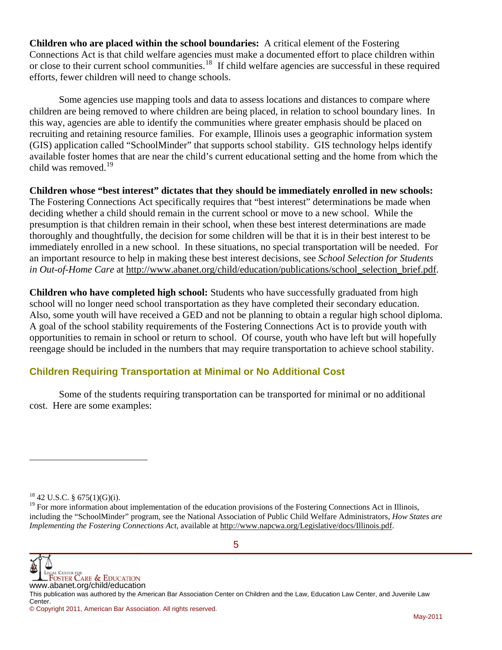**Children who are placed within the school boundaries:** A critical element of the Fostering Connections Act is that child welfare agencies must make a documented effort to place children within or close to their current school communities.[18](#page-4-0) If child welfare agencies are successful in these required efforts, fewer children will need to change schools.

 Some agencies use mapping tools and data to assess locations and distances to compare where children are being removed to where children are being placed, in relation to school boundary lines. In this way, agencies are able to identify the communities where greater emphasis should be placed on recruiting and retaining resource families. For example, Illinois uses a geographic information system (GIS) application called "SchoolMinder" that supports school stability. GIS technology helps identify available foster homes that are near the child's current educational setting and the home from which the child was removed.<sup>[19](#page-4-1)</sup>

**Children whose "best interest" dictates that they should be immediately enrolled in new schools:** The Fostering Connections Act specifically requires that "best interest" determinations be made when deciding whether a child should remain in the current school or move to a new school. While the presumption is that children remain in their school, when these best interest determinations are made thoroughly and thoughtfully, the decision for some children will be that it is in their best interest to be immediately enrolled in a new school. In these situations, no special transportation will be needed. For an important resource to help in making these best interest decisions, see *School Selection for Students in Out-of-Home Care* at http://www.abanet.org/child/education/publications/school\_selection\_brief.pdf.

**Children who have completed high school:** Students who have successfully graduated from high school will no longer need school transportation as they have completed their secondary education. Also, some youth will have received a GED and not be planning to obtain a regular high school diploma. A goal of the school stability requirements of the Fostering Connections Act is to provide youth with opportunities to remain in school or return to school. Of course, youth who have left but will hopefully reengage should be included in the numbers that may require transportation to achieve school stability.

## **Children Requiring Transportation at Minimal or No Additional Cost**

 Some of the students requiring transportation can be transported for minimal or no additional cost. Here are some examples:

l

**WE LEGAL CENTER FOR CARE & EDUCATION**<br>WWW.abanet.org/child/education

This publication was authored by the American Bar Association Center on Children and the Law, Education Law Center, and Juvenile Law Center.

<span id="page-4-0"></span> $18$  42 U.S.C. § 675(1)(G)(i).

<span id="page-4-1"></span> $<sup>19</sup>$  For more information about implementation of the education provisions of the Fostering Connections Act in Illinois,</sup> including the "SchoolMinder" program, see the National Association of Public Child Welfare Administrators, *How States are Implementing the Fostering Connections Act*, available at http://www.napcwa.org/Legislative/docs/Illinois.pdf.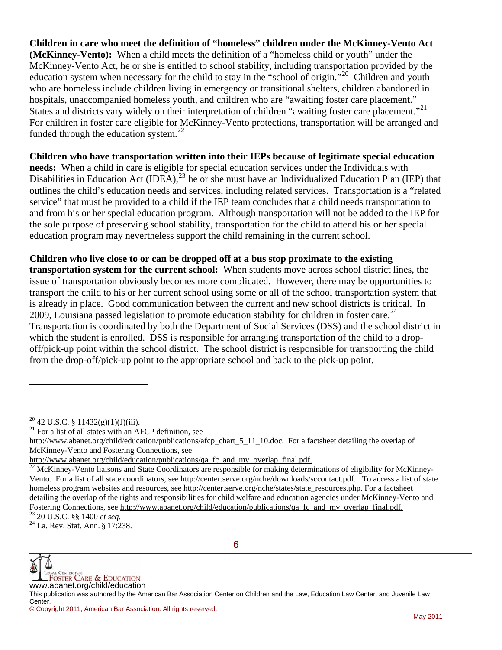**Children in care who meet the definition of "homeless" children under the McKinney-Vento Act (McKinney-Vento):** When a child meets the definition of a "homeless child or youth" under the McKinney-Vento Act, he or she is entitled to school stability, including transportation provided by the education system when necessary for the child to stay in the "school of origin."[20](#page-5-0) Children and youth who are homeless include children living in emergency or transitional shelters, children abandoned in hospitals, unaccompanied homeless youth, and children who are "awaiting foster care placement." States and districts vary widely on their interpretation of children "awaiting foster care placement."<sup>[21](#page-5-1)</sup> For children in foster care eligible for McKinney-Vento protections, transportation will be arranged and funded through the education system. $^{22}$  $^{22}$  $^{22}$ 

**Children who have transportation written into their IEPs because of legitimate special education needs:** When a child in care is eligible for special education services under the Individuals with Disabilities in Education Act (IDEA),  $^{23}$  $^{23}$  $^{23}$  he or she must have an Individualized Education Plan (IEP) that outlines the child's education needs and services, including related services. Transportation is a "related service" that must be provided to a child if the IEP team concludes that a child needs transportation to and from his or her special education program. Although transportation will not be added to the IEP for the sole purpose of preserving school stability, transportation for the child to attend his or her special education program may nevertheless support the child remaining in the current school.

**Children who live close to or can be dropped off at a bus stop proximate to the existing transportation system for the current school:** When students move across school district lines, the issue of transportation obviously becomes more complicated. However, there may be opportunities to transport the child to his or her current school using some or all of the school transportation system that is already in place. Good communication between the current and new school districts is critical. In 2009, Louisiana passed legislation to promote education stability for children in foster care.<sup>[24](#page-5-4)</sup> Transportation is coordinated by both the Department of Social Services (DSS) and the school district in which the student is enrolled. DSS is responsible for arranging transportation of the child to a dropoff/pick-up point within the school district. The school district is responsible for transporting the child from the drop-off/pick-up point to the appropriate school and back to the pick-up point.

l

<span id="page-5-4"></span><span id="page-5-3"></span>



<span id="page-5-1"></span><span id="page-5-0"></span><sup>&</sup>lt;sup>20</sup> 42 U.S.C. § 11432(g)(1)(J)(iii).<br><sup>21</sup> For a list of all states with an AFCP definition, see

http://www.abanet.org/child/education/publications/afcp\_chart\_5\_11\_10.doc. For a factsheet detailing the overlap of McKinney-Vento and Fostering Connections, see

<span id="page-5-2"></span>http://www.abanet.org/child/education/publications/qa\_fc\_and\_mv\_overlap\_final.pdf. 22 McKinney-Vento liaisons and State Coordinators are responsible for making determinations of eligibility for McKinney-Vento. For a list of all state coordinators, see http://center.serve.org/nche/downloads/sccontact.pdf. To access a list of state homeless program websites and resources, see http://center.serve.org/nche/states/state\_resources.php. For a factsheet detailing the overlap of the rights and responsibilities for child welfare and education agencies under McKinney-Vento and Fostering Connections, see <u>http://www.abanet.org/child/education/publications/qa\_fc\_and\_mv\_overlap\_final.pdf.</u> <sup>23</sup> 20 U.S.C. §§ 1400 *et seq.* 24 La. Rev. Stat. Ann. § 17:238.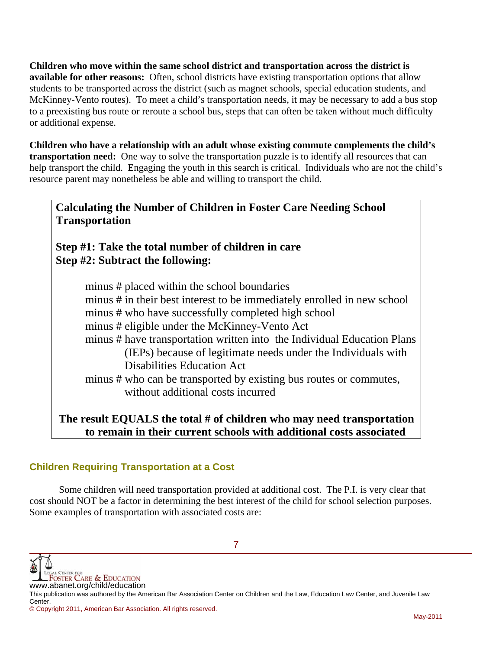**Children who move within the same school district and transportation across the district is available for other reasons:** Often, school districts have existing transportation options that allow students to be transported across the district (such as magnet schools, special education students, and McKinney-Vento routes). To meet a child's transportation needs, it may be necessary to add a bus stop to a preexisting bus route or reroute a school bus, steps that can often be taken without much difficulty or additional expense.

**Children who have a relationship with an adult whose existing commute complements the child's transportation need:** One way to solve the transportation puzzle is to identify all resources that can help transport the child. Engaging the youth in this search is critical. Individuals who are not the child's resource parent may nonetheless be able and willing to transport the child.

**Calculating the Number of Children in Foster Care Needing School Transportation** 

# **Step #1: Take the total number of children in care Step #2: Subtract the following:**

 minus # placed within the school boundaries minus # in their best interest to be immediately enrolled in new school minus # who have successfully completed high school minus # eligible under the McKinney-Vento Act minus # have transportation written into the Individual Education Plans (IEPs) because of legitimate needs under the Individuals with Disabilities Education Act minus # who can be transported by existing bus routes or commutes, without additional costs incurred

# **The result EQUALS the total # of children who may need transportation to remain in their current schools with additional costs associated**

# **Children Requiring Transportation at a Cost**

Some children will need transportation provided at additional cost. The P.I. is very clear that cost should NOT be a factor in determining the best interest of the child for school selection purposes. Some examples of transportation with associated costs are:

**WE LEGAL CENTER FOR CARE & EDUCATION**<br>WWW.abanet.org/child/education

This publication was authored by the American Bar Association Center on Children and the Law, Education Law Center, and Juvenile Law Center.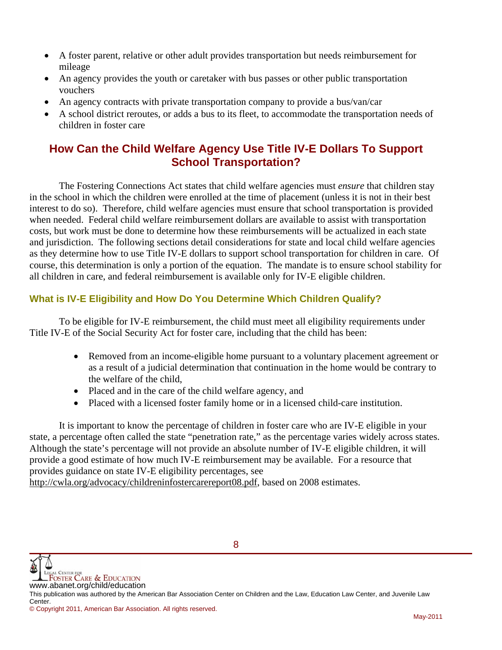- A foster parent, relative or other adult provides transportation but needs reimbursement for mileage
- An agency provides the youth or caretaker with bus passes or other public transportation vouchers
- An agency contracts with private transportation company to provide a bus/van/car
- A school district reroutes, or adds a bus to its fleet, to accommodate the transportation needs of children in foster care

# **How Can the Child Welfare Agency Use Title IV-E Dollars To Support School Transportation?**

 The Fostering Connections Act states that child welfare agencies must *ensure* that children stay in the school in which the children were enrolled at the time of placement (unless it is not in their best interest to do so). Therefore, child welfare agencies must ensure that school transportation is provided when needed. Federal child welfare reimbursement dollars are available to assist with transportation costs, but work must be done to determine how these reimbursements will be actualized in each state and jurisdiction. The following sections detail considerations for state and local child welfare agencies as they determine how to use Title IV-E dollars to support school transportation for children in care. Of course, this determination is only a portion of the equation. The mandate is to ensure school stability for all children in care, and federal reimbursement is available only for IV-E eligible children.

## **What is IV-E Eligibility and How Do You Determine Which Children Qualify?**

 To be eligible for IV-E reimbursement, the child must meet all eligibility requirements under Title IV-E of the Social Security Act for foster care, including that the child has been:

- Removed from an income-eligible home pursuant to a voluntary placement agreement or as a result of a judicial determination that continuation in the home would be contrary to the welfare of the child,
- Placed and in the care of the child welfare agency, and
- Placed with a licensed foster family home or in a licensed child-care institution.

 It is important to know the percentage of children in foster care who are IV-E eligible in your state, a percentage often called the state "penetration rate," as the percentage varies widely across states. Although the state's percentage will not provide an absolute number of IV-E eligible children, it will provide a good estimate of how much IV-E reimbursement may be available. For a resource that provides guidance on state IV-E eligibility percentages, see

http://cwla.org/advocacy/childreninfostercarereport08.pdf, based on 2008 estimates.

This publication was authored by the American Bar Association Center on Children and the Law, Education Law Center, and Juvenile Law Center.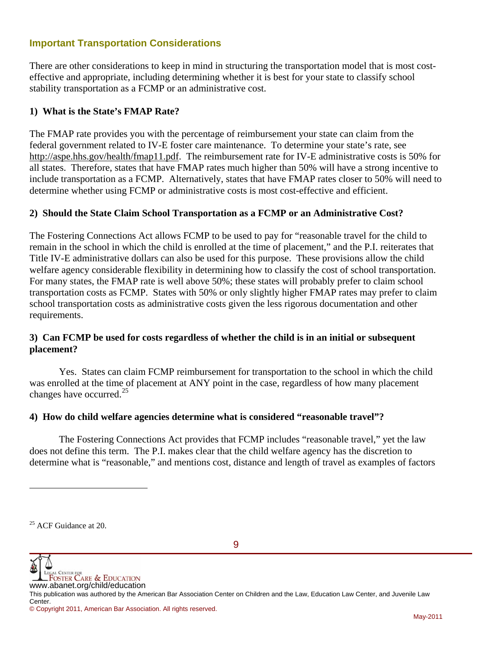#### **Important Transportation Considerations**

There are other considerations to keep in mind in structuring the transportation model that is most costeffective and appropriate, including determining whether it is best for your state to classify school stability transportation as a FCMP or an administrative cost.

#### **1) What is the State's FMAP Rate?**

The FMAP rate provides you with the percentage of reimbursement your state can claim from the federal government related to IV-E foster care maintenance. To determine your state's rate, see http://aspe.hhs.gov/health/fmap11.pdf. The reimbursement rate for IV-E administrative costs is 50% for all states. Therefore, states that have FMAP rates much higher than 50% will have a strong incentive to include transportation as a FCMP. Alternatively, states that have FMAP rates closer to 50% will need to determine whether using FCMP or administrative costs is most cost-effective and efficient.

#### **2) Should the State Claim School Transportation as a FCMP or an Administrative Cost?**

The Fostering Connections Act allows FCMP to be used to pay for "reasonable travel for the child to remain in the school in which the child is enrolled at the time of placement," and the P.I. reiterates that Title IV-E administrative dollars can also be used for this purpose. These provisions allow the child welfare agency considerable flexibility in determining how to classify the cost of school transportation. For many states, the FMAP rate is well above 50%; these states will probably prefer to claim school transportation costs as FCMP. States with 50% or only slightly higher FMAP rates may prefer to claim school transportation costs as administrative costs given the less rigorous documentation and other requirements.

#### **3) Can FCMP be used for costs regardless of whether the child is in an initial or subsequent placement?**

 Yes. States can claim FCMP reimbursement for transportation to the school in which the child was enrolled at the time of placement at ANY point in the case, regardless of how many placement changes have occurred. $^{25}$  $^{25}$  $^{25}$ 

#### **4) How do child welfare agencies determine what is considered "reasonable travel"?**

 The Fostering Connections Act provides that FCMP includes "reasonable travel," yet the law does not define this term. The P.I. makes clear that the child welfare agency has the discretion to determine what is "reasonable," and mentions cost, distance and length of travel as examples of factors

l



<span id="page-8-0"></span><sup>&</sup>lt;sup>25</sup> ACF Guidance at 20.

<sup>©</sup> Copyright 2011, American Bar Association. All rights reserved.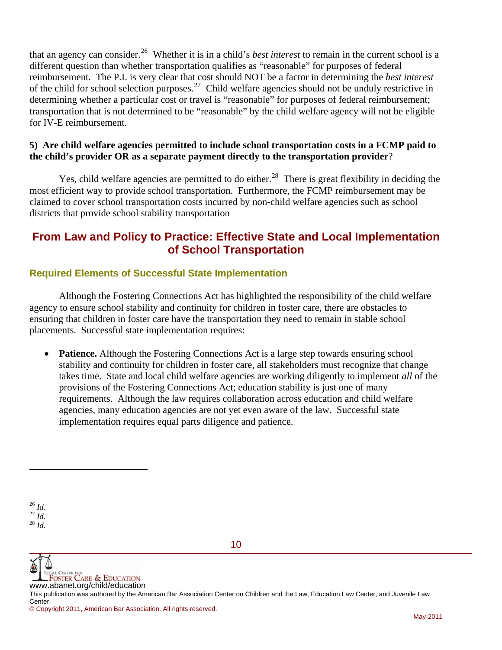that an agency can consider.[26](#page-9-0) Whether it is in a child's *best interest* to remain in the current school is a different question than whether transportation qualifies as "reasonable" for purposes of federal reimbursement. The P.I. is very clear that cost should NOT be a factor in determining the *best interest* of the child for school selection purposes.<sup>[27](#page-9-1)</sup> Child welfare agencies should not be unduly restrictive in determining whether a particular cost or travel is "reasonable" for purposes of federal reimbursement; transportation that is not determined to be "reasonable" by the child welfare agency will not be eligible for IV-E reimbursement.

#### **5) Are child welfare agencies permitted to include school transportation costs in a FCMP paid to the child's provider OR as a separate payment directly to the transportation provider**?

Yes, child welfare agencies are permitted to do either.<sup>[28](#page-9-2)</sup> There is great flexibility in deciding the most efficient way to provide school transportation. Furthermore, the FCMP reimbursement may be claimed to cover school transportation costs incurred by non-child welfare agencies such as school districts that provide school stability transportation

# **From Law and Policy to Practice: Effective State and Local Implementation of School Transportation**

## **Required Elements of Successful State Implementation**

 Although the Fostering Connections Act has highlighted the responsibility of the child welfare agency to ensure school stability and continuity for children in foster care, there are obstacles to ensuring that children in foster care have the transportation they need to remain in stable school placements. Successful state implementation requires:

 **Patience.** Although the Fostering Connections Act is a large step towards ensuring school stability and continuity for children in foster care, all stakeholders must recognize that change takes time. State and local child welfare agencies are working diligently to implement *all* of the provisions of the Fostering Connections Act; education stability is just one of many requirements. Although the law requires collaboration across education and child welfare agencies, many education agencies are not yet even aware of the law. Successful state implementation requires equal parts diligence and patience.

l



This publication was authored by the American Bar Association Center on Children and the Law, Education Law Center, and Juvenile Law Center.

10

<span id="page-9-2"></span><span id="page-9-1"></span><span id="page-9-0"></span><sup>26</sup> *Id.* 27 *Id.* 28 *Id.*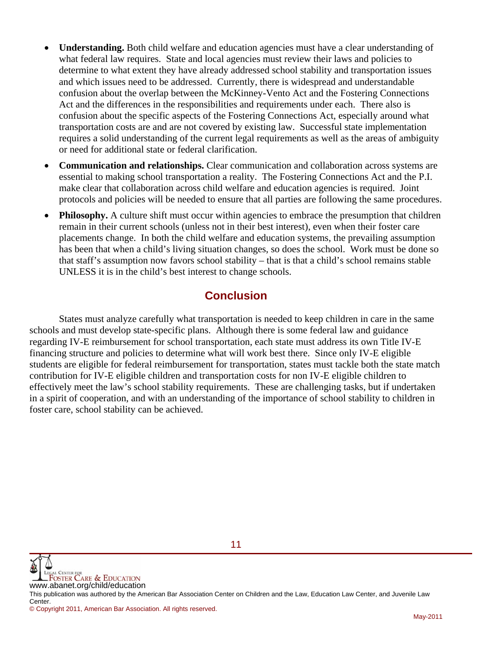- **Understanding.** Both child welfare and education agencies must have a clear understanding of what federal law requires. State and local agencies must review their laws and policies to determine to what extent they have already addressed school stability and transportation issues and which issues need to be addressed. Currently, there is widespread and understandable confusion about the overlap between the McKinney-Vento Act and the Fostering Connections Act and the differences in the responsibilities and requirements under each. There also is confusion about the specific aspects of the Fostering Connections Act, especially around what transportation costs are and are not covered by existing law. Successful state implementation requires a solid understanding of the current legal requirements as well as the areas of ambiguity or need for additional state or federal clarification.
- **Communication and relationships.** Clear communication and collaboration across systems are essential to making school transportation a reality. The Fostering Connections Act and the P.I. make clear that collaboration across child welfare and education agencies is required. Joint protocols and policies will be needed to ensure that all parties are following the same procedures.
- **Philosophy.** A culture shift must occur within agencies to embrace the presumption that children remain in their current schools (unless not in their best interest), even when their foster care placements change. In both the child welfare and education systems, the prevailing assumption has been that when a child's living situation changes, so does the school. Work must be done so that staff's assumption now favors school stability – that is that a child's school remains stable UNLESS it is in the child's best interest to change schools.

# **Conclusion**

 States must analyze carefully what transportation is needed to keep children in care in the same schools and must develop state-specific plans. Although there is some federal law and guidance regarding IV-E reimbursement for school transportation, each state must address its own Title IV-E financing structure and policies to determine what will work best there. Since only IV-E eligible students are eligible for federal reimbursement for transportation, states must tackle both the state match contribution for IV-E eligible children and transportation costs for non IV-E eligible children to effectively meet the law's school stability requirements. These are challenging tasks, but if undertaken in a spirit of cooperation, and with an understanding of the importance of school stability to children in foster care, school stability can be achieved.



This publication was authored by the American Bar Association Center on Children and the Law, Education Law Center, and Juvenile Law Center.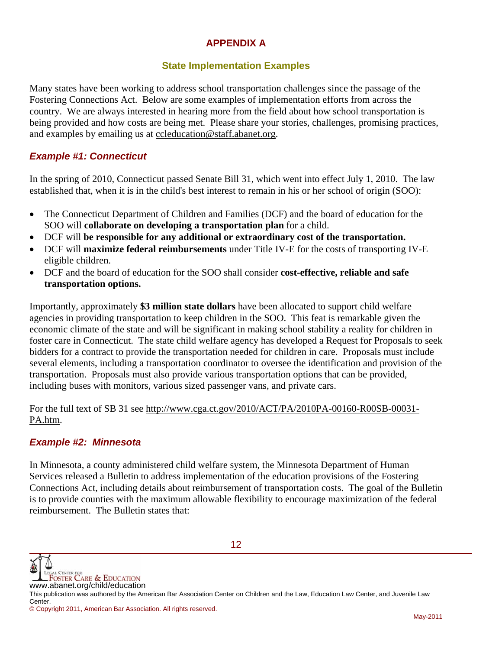## **APPENDIX A**

## **State Implementation Examples**

Many states have been working to address school transportation challenges since the passage of the Fostering Connections Act. Below are some examples of implementation efforts from across the country. We are always interested in hearing more from the field about how school transportation is being provided and how costs are being met. Please share your stories, challenges, promising practices, and examples by emailing us at ccleducation@staff.abanet.org.

## *Example #1: Connecticut*

In the spring of 2010, Connecticut passed Senate Bill 31, which went into effect July 1, 2010. The law established that, when it is in the child's best interest to remain in his or her school of origin (SOO):

- The Connecticut Department of Children and Families (DCF) and the board of education for the SOO will **collaborate on developing a transportation plan** for a child.
- DCF will **be responsible for any additional or extraordinary cost of the transportation.**
- DCF will **maximize federal reimbursements** under Title IV-E for the costs of transporting IV-E eligible children.
- DCF and the board of education for the SOO shall consider **cost-effective, reliable and safe transportation options.**

Importantly, approximately **\$3 million state dollars** have been allocated to support child welfare agencies in providing transportation to keep children in the SOO. This feat is remarkable given the economic climate of the state and will be significant in making school stability a reality for children in foster care in Connecticut. The state child welfare agency has developed a Request for Proposals to seek bidders for a contract to provide the transportation needed for children in care. Proposals must include several elements, including a transportation coordinator to oversee the identification and provision of the transportation. Proposals must also provide various transportation options that can be provided, including buses with monitors, various sized passenger vans, and private cars.

For the full text of SB 31 see http://www.cga.ct.gov/2010/ACT/PA/2010PA-00160-R00SB-00031- PA.htm.

#### *Example #2: Minnesota*

In Minnesota, a county administered child welfare system, the Minnesota Department of Human Services released a Bulletin to address implementation of the education provisions of the Fostering Connections Act, including details about reimbursement of transportation costs. The goal of the Bulletin is to provide counties with the maximum allowable flexibility to encourage maximization of the federal reimbursement. The Bulletin states that:



This publication was authored by the American Bar Association Center on Children and the Law, Education Law Center, and Juvenile Law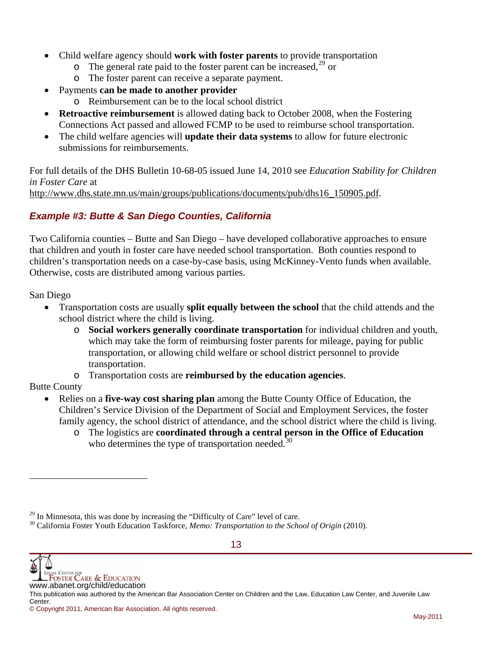- Child welfare agency should **work with foster parents** to provide transportation
	- $\circ$  The general rate paid to the foster parent can be increased,  $^{29}$  $^{29}$  $^{29}$  or
	- o The foster parent can receive a separate payment.
- Payments **can be made to another provider** 
	- o Reimbursement can be to the local school district
- **Retroactive reimbursement** is allowed dating back to October 2008, when the Fostering Connections Act passed and allowed FCMP to be used to reimburse school transportation.
- The child welfare agencies will **update their data systems** to allow for future electronic submissions for reimbursements.

For full details of the DHS Bulletin 10-68-05 issued June 14, 2010 see *Education Stability for Children in Foster Care* at http://www.dhs.state.mn.us/main/groups/publications/documents/pub/dhs16\_150905.pdf.

# *Example #3: Butte & San Diego Counties, California*

Two California counties – Butte and San Diego – have developed collaborative approaches to ensure that children and youth in foster care have needed school transportation. Both counties respond to children's transportation needs on a case-by-case basis, using McKinney-Vento funds when available. Otherwise, costs are distributed among various parties.

San Diego

- Transportation costs are usually **split equally between the school** that the child attends and the school district where the child is living.
	- o **Social workers generally coordinate transportation** for individual children and youth, which may take the form of reimbursing foster parents for mileage, paying for public transportation, or allowing child welfare or school district personnel to provide transportation.
	- o Transportation costs are **reimbursed by the education agencies**.

## Butte County

l

- Relies on a **five-way cost sharing plan** among the Butte County Office of Education, the Children's Service Division of the Department of Social and Employment Services, the foster family agency, the school district of attendance, and the school district where the child is living.
	- o The logistics are **coordinated through a central person in the Office of Education** who determines the type of transportation needed.<sup>[30](#page-12-1)</sup>

<span id="page-12-1"></span><span id="page-12-0"></span><sup>&</sup>lt;sup>29</sup> In Minnesota, this was done by increasing the "Difficulty of Care" level of care.<br><sup>30</sup> California Foster Youth Education Taskforce, *Memo: Transportation to the School of Origin* (2010).

**WE LEGAL CENTER FOR CARE & EDUCATION**<br>WWW.abanet.org/child/education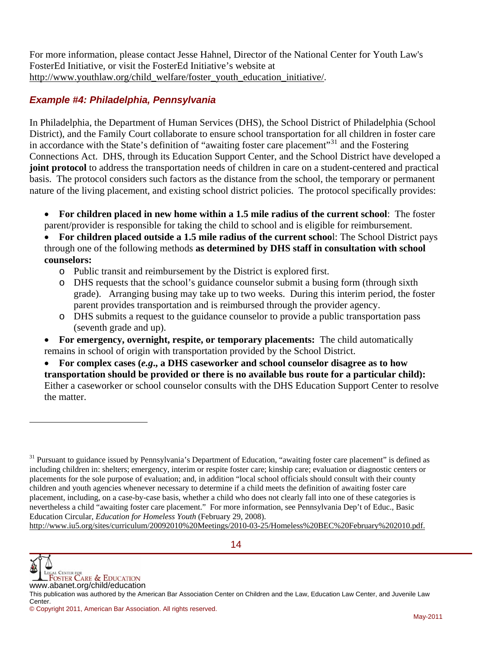For more information, please contact Jesse Hahnel, Director of the National Center for Youth Law's FosterEd Initiative, or visit the FosterEd Initiative's website at http://www.youthlaw.org/child\_welfare/foster\_youth\_education\_initiative/.

#### *Example #4: Philadelphia, Pennsylvania*

In Philadelphia, the Department of Human Services (DHS), the School District of Philadelphia (School District), and the Family Court collaborate to ensure school transportation for all children in foster care in accordance with the State's definition of "awaiting foster care placement"[31](#page-13-0) and the Fostering Connections Act. DHS, through its Education Support Center, and the School District have developed a **joint protocol** to address the transportation needs of children in care on a student-centered and practical basis. The protocol considers such factors as the distance from the school, the temporary or permanent nature of the living placement, and existing school district policies. The protocol specifically provides:

 **For children placed in new home within a 1.5 mile radius of the current school**: The foster parent/provider is responsible for taking the child to school and is eligible for reimbursement.

 **For children placed outside a 1.5 mile radius of the current schoo**l: The School District pays through one of the following methods **as determined by DHS staff in consultation with school counselors:**

- o Public transit and reimbursement by the District is explored first.
- o DHS requests that the school's guidance counselor submit a busing form (through sixth grade). Arranging busing may take up to two weeks. During this interim period, the foster parent provides transportation and is reimbursed through the provider agency.
- o DHS submits a request to the guidance counselor to provide a public transportation pass (seventh grade and up).
- **For emergency, overnight, respite, or temporary placements:** The child automatically remains in school of origin with transportation provided by the School District.
- **For complex cases (***e.g***., a DHS caseworker and school counselor disagree as to how transportation should be provided or there is no available bus route for a particular child):** Either a caseworker or school counselor consults with the DHS Education Support Center to resolve the matter.

http://www.iu5.org/sites/curriculum/20092010%20Meetings/2010-03-25/Homeless%20BEC%20February%202010.pdf.



l

<span id="page-13-0"></span> $31$  Pursuant to guidance issued by Pennsylvania's Department of Education, "awaiting foster care placement" is defined as including children in: shelters; emergency, interim or respite foster care; kinship care; evaluation or diagnostic centers or placements for the sole purpose of evaluation; and, in addition "local school officials should consult with their county children and youth agencies whenever necessary to determine if a child meets the definition of awaiting foster care placement, including, on a case-by-case basis, whether a child who does not clearly fall into one of these categories is nevertheless a child "awaiting foster care placement." For more information, see Pennsylvania Dep't of Educ., Basic Education Circular, *Education for Homeless Youth* (February 29, 2008).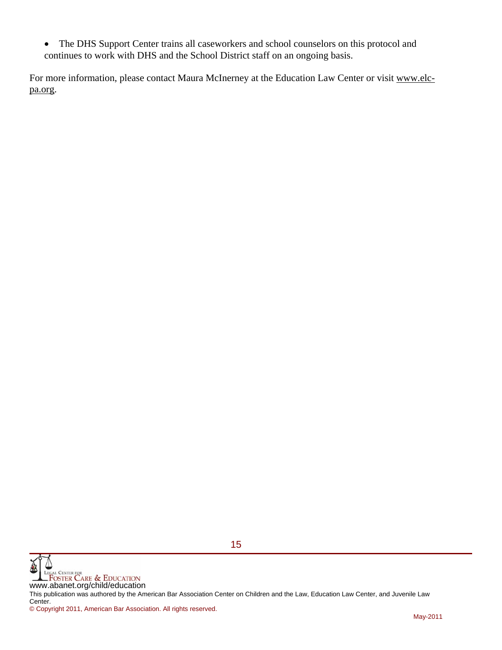The DHS Support Center trains all caseworkers and school counselors on this protocol and continues to work with DHS and the School District staff on an ongoing basis.

For more information, please contact Maura McInerney at the Education Law Center or visit www.elcpa.org.



This publication was authored by the American Bar Association Center on Children and the Law, Education Law Center, and Juvenile Law Center.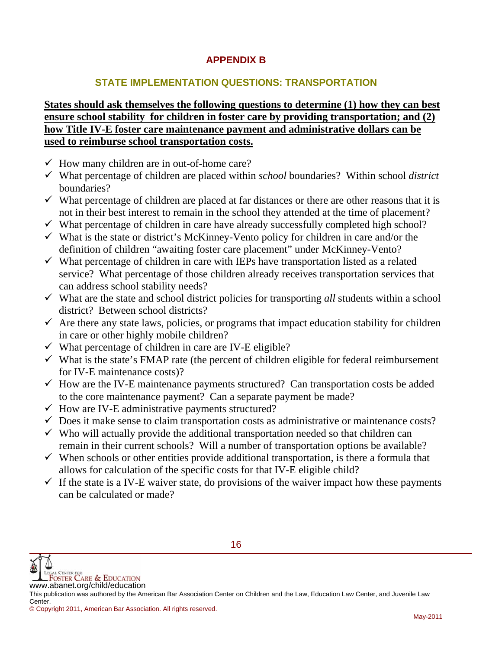# **APPENDIX B**

## **STATE IMPLEMENTATION QUESTIONS: TRANSPORTATION**

## **States should ask themselves the following questions to determine (1) how they can best ensure school stability for children in foster care by providing transportation; and (2) how Title IV-E foster care maintenance payment and administrative dollars can be used to reimburse school transportation costs.**

- $\checkmark$  How many children are in out-of-home care?
- What percentage of children are placed within *school* boundaries? Within school *district* boundaries?
- $\checkmark$  What percentage of children are placed at far distances or there are other reasons that it is not in their best interest to remain in the school they attended at the time of placement?
- $\checkmark$  What percentage of children in care have already successfully completed high school?
- $\checkmark$  What is the state or district's McKinney-Vento policy for children in care and/or the definition of children "awaiting foster care placement" under McKinney-Vento?
- $\checkmark$  What percentage of children in care with IEPs have transportation listed as a related service? What percentage of those children already receives transportation services that can address school stability needs?
- $\checkmark$  What are the state and school district policies for transporting *all* students within a school district? Between school districts?
- $\checkmark$  Are there any state laws, policies, or programs that impact education stability for children in care or other highly mobile children?
- $\checkmark$  What percentage of children in care are IV-E eligible?
- $\checkmark$  What is the state's FMAP rate (the percent of children eligible for federal reimbursement for IV-E maintenance costs)?
- $\checkmark$  How are the IV-E maintenance payments structured? Can transportation costs be added to the core maintenance payment? Can a separate payment be made?
- $\checkmark$  How are IV-E administrative payments structured?
- $\checkmark$  Does it make sense to claim transportation costs as administrative or maintenance costs?
- $\checkmark$  Who will actually provide the additional transportation needed so that children can remain in their current schools? Will a number of transportation options be available?
- $\checkmark$  When schools or other entities provide additional transportation, is there a formula that allows for calculation of the specific costs for that IV-E eligible child?
- $\checkmark$  If the state is a IV-E waiver state, do provisions of the waiver impact how these payments can be calculated or made?

**WE LEGAL CENTER FOR CARE & EDUCATION**<br>WWW.abanet.org/child/education This publication was authored by the American Bar Association Center on Children and the Law, Education Law Center, and Juvenile Law Center. © Copyright 2011, American Bar Association. All rights reserved.

16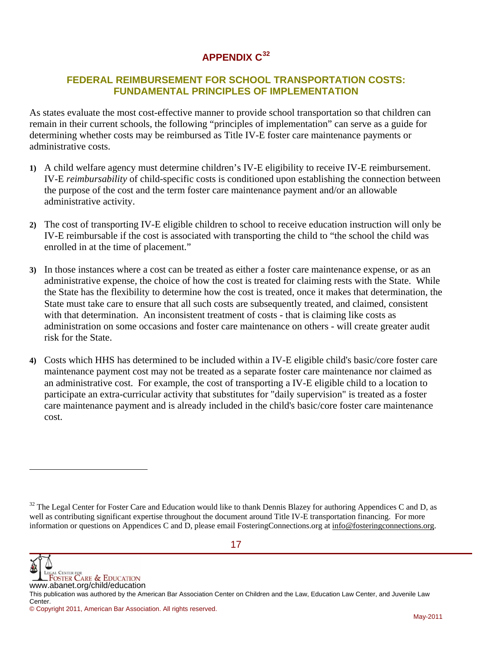# **APPENDIX C[32](#page-16-0)**

## **FEDERAL REIMBURSEMENT FOR SCHOOL TRANSPORTATION COSTS: FUNDAMENTAL PRINCIPLES OF IMPLEMENTATION**

As states evaluate the most cost-effective manner to provide school transportation so that children can remain in their current schools, the following "principles of implementation" can serve as a guide for determining whether costs may be reimbursed as Title IV-E foster care maintenance payments or administrative costs.

- **1)** A child welfare agency must determine children's IV-E eligibility to receive IV-E reimbursement. IV-E *reimbursability* of child-specific costs is conditioned upon establishing the connection between the purpose of the cost and the term foster care maintenance payment and/or an allowable administrative activity.
- **2)** The cost of transporting IV-E eligible children to school to receive education instruction will only be IV-E reimbursable if the cost is associated with transporting the child to "the school the child was enrolled in at the time of placement."
- **3)** In those instances where a cost can be treated as either a foster care maintenance expense, or as an administrative expense, the choice of how the cost is treated for claiming rests with the State. While the State has the flexibility to determine how the cost is treated, once it makes that determination, the State must take care to ensure that all such costs are subsequently treated, and claimed, consistent with that determination. An inconsistent treatment of costs - that is claiming like costs as administration on some occasions and foster care maintenance on others - will create greater audit risk for the State.
- **4)** Costs which HHS has determined to be included within a IV-E eligible child's basic/core foster care maintenance payment cost may not be treated as a separate foster care maintenance nor claimed as an administrative cost. For example, the cost of transporting a IV-E eligible child to a location to participate an extra-curricular activity that substitutes for "daily supervision" is treated as a foster care maintenance payment and is already included in the child's basic/core foster care maintenance cost.



l

<span id="page-16-0"></span><sup>&</sup>lt;sup>32</sup> The Legal Center for Foster Care and Education would like to thank Dennis Blazey for authoring Appendices C and D, as well as contributing significant expertise throughout the document around Title IV-E transportation financing. For more information or questions on Appendices C and D, please email FosteringConnections.org at info@fosteringconnections.org.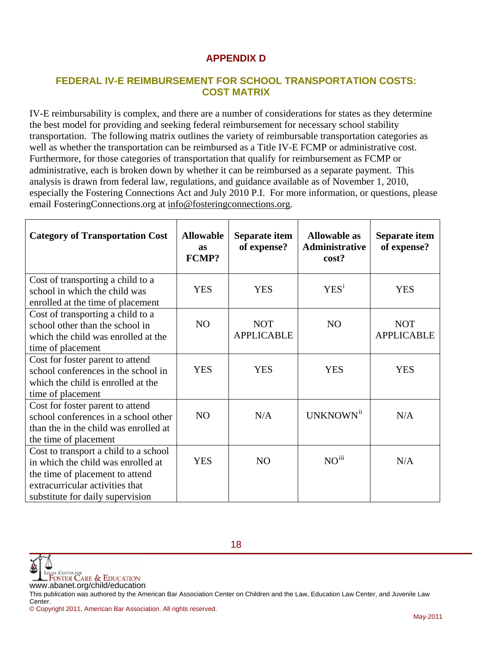# **APPENDIX D**

#### **FEDERAL IV-E REIMBURSEMENT FOR SCHOOL TRANSPORTATION COSTS: COST MATRIX**

IV-E reimbursability is complex, and there are a number of considerations for states as they determine the best model for providing and seeking federal reimbursement for necessary school stability transportation. The following matrix outlines the variety of reimbursable transportation categories as well as whether the transportation can be reimbursed as a Title IV-E FCMP or administrative cost. Furthermore, for those categories of transportation that qualify for reimbursement as FCMP or administrative, each is broken down by whether it can be reimbursed as a separate payment. This analysis is drawn from federal law, regulations, and guidance available as of November 1, 2010, especially the Fostering Connections Act and July 2010 P.I. For more information, or questions, please email FosteringConnections.org at info@fosteringconnections.org.

| <b>Category of Transportation Cost</b>                                                                                                                                                | <b>Allowable</b><br><b>as</b><br><b>FCMP?</b> | Separate item<br>of expense?    | <b>Allowable as</b><br>Administrative<br>cost? | Separate item<br>of expense?    |
|---------------------------------------------------------------------------------------------------------------------------------------------------------------------------------------|-----------------------------------------------|---------------------------------|------------------------------------------------|---------------------------------|
| Cost of transporting a child to a<br>school in which the child was<br>enrolled at the time of placement                                                                               | <b>YES</b>                                    | <b>YES</b>                      | YES <sup>i</sup>                               | <b>YES</b>                      |
| Cost of transporting a child to a<br>school other than the school in<br>which the child was enrolled at the<br>time of placement                                                      | NO                                            | <b>NOT</b><br><b>APPLICABLE</b> | N <sub>O</sub>                                 | <b>NOT</b><br><b>APPLICABLE</b> |
| Cost for foster parent to attend<br>school conferences in the school in<br>which the child is enrolled at the<br>time of placement                                                    | <b>YES</b>                                    | <b>YES</b>                      | <b>YES</b>                                     | <b>YES</b>                      |
| Cost for foster parent to attend<br>school conferences in a school other<br>than the in the child was enrolled at<br>the time of placement                                            | NO                                            | N/A                             | UNKNOWN <sup>ii</sup>                          | N/A                             |
| Cost to transport a child to a school<br>in which the child was enrolled at<br>the time of placement to attend<br>extracurricular activities that<br>substitute for daily supervision | <b>YES</b>                                    | NO                              | $NO^{iii}$                                     | N/A                             |



This publication was authored by the American Bar Association Center on Children and the Law, Education Law Center, and Juvenile Law Center.